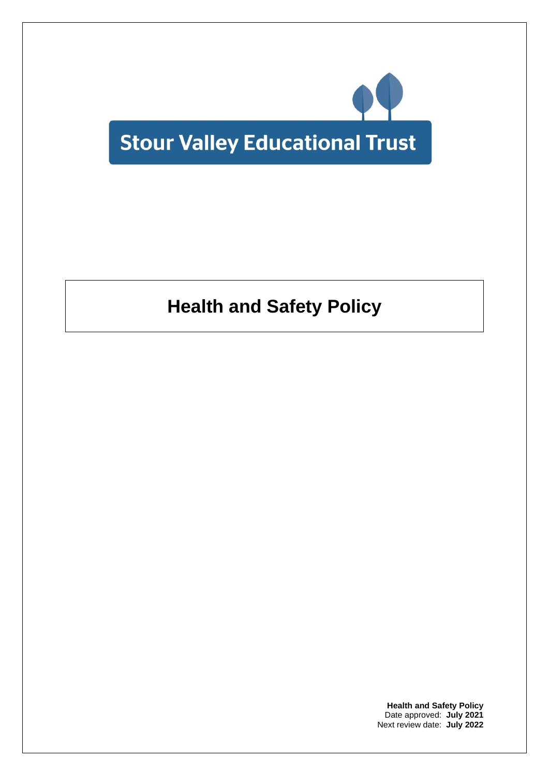

# **Health and Safety Policy**

**Health and Safety Policy** Date approved: **July 2021** Next review date: **July 2022**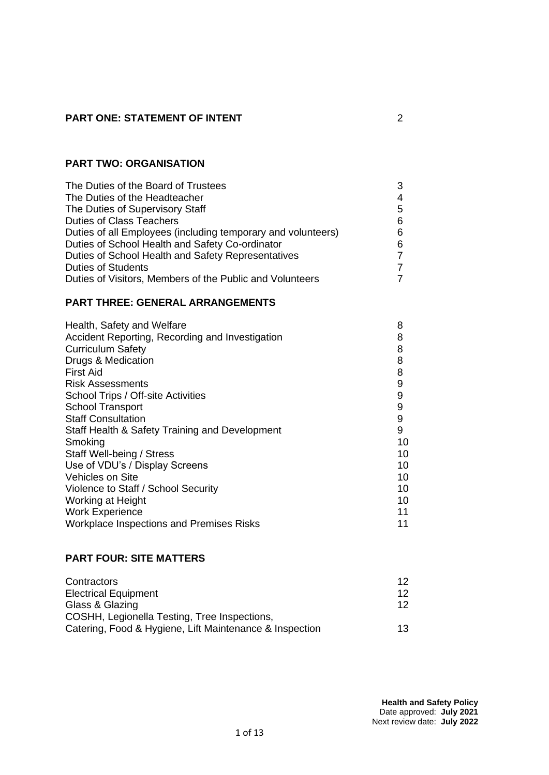# **PART ONE: STATEMENT OF INTENT CONSUMING A STATEMENT**

#### **PART TWO: ORGANISATION**

| The Duties of the Board of Trustees                          | 3 |
|--------------------------------------------------------------|---|
| The Duties of the Headteacher                                | 4 |
| The Duties of Supervisory Staff                              | 5 |
| <b>Duties of Class Teachers</b>                              | 6 |
| Duties of all Employees (including temporary and volunteers) | 6 |
| Duties of School Health and Safety Co-ordinator              | 6 |
| Duties of School Health and Safety Representatives           | 7 |
| <b>Duties of Students</b>                                    | 7 |
| Duties of Visitors, Members of the Public and Volunteers     | 7 |

# **PART THREE: GENERAL ARRANGEMENTS**

| Health, Safety and Welfare                      | 8  |
|-------------------------------------------------|----|
| Accident Reporting, Recording and Investigation | 8  |
| <b>Curriculum Safety</b>                        | 8  |
| Drugs & Medication                              | 8  |
| <b>First Aid</b>                                | 8  |
| <b>Risk Assessments</b>                         | 9  |
| School Trips / Off-site Activities              | 9  |
| <b>School Transport</b>                         | 9  |
| <b>Staff Consultation</b>                       | 9  |
| Staff Health & Safety Training and Development  | 9  |
| Smoking                                         | 10 |
| Staff Well-being / Stress                       | 10 |
| Use of VDU's / Display Screens                  | 10 |
| Vehicles on Site                                | 10 |
| Violence to Staff / School Security             | 10 |
| Working at Height                               | 10 |
| <b>Work Experience</b>                          | 11 |
| <b>Workplace Inspections and Premises Risks</b> | 11 |

# **PART FOUR: SITE MATTERS**

| Contractors                                             | 12.             |
|---------------------------------------------------------|-----------------|
| <b>Electrical Equipment</b>                             | 12.             |
| Glass & Glazing                                         | 12 <sub>1</sub> |
| COSHH, Legionella Testing, Tree Inspections,            |                 |
| Catering, Food & Hygiene, Lift Maintenance & Inspection | 13.             |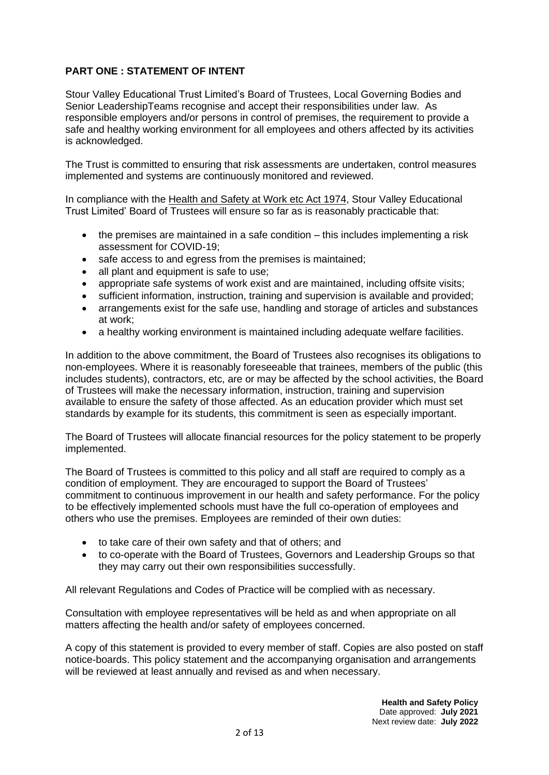# **PART ONE : STATEMENT OF INTENT**

Stour Valley Educational Trust Limited's Board of Trustees, Local Governing Bodies and Senior LeadershipTeams recognise and accept their responsibilities under law. As responsible employers and/or persons in control of premises, the requirement to provide a safe and healthy working environment for all employees and others affected by its activities is acknowledged.

The Trust is committed to ensuring that risk assessments are undertaken, control measures implemented and systems are continuously monitored and reviewed.

In compliance with the Health and Safety at Work etc Act 1974, Stour Valley Educational Trust Limited' Board of Trustees will ensure so far as is reasonably practicable that:

- the premises are maintained in a safe condition this includes implementing a risk assessment for COVID-19;
- safe access to and egress from the premises is maintained:
- all plant and equipment is safe to use:
- appropriate safe systems of work exist and are maintained, including offsite visits;
- sufficient information, instruction, training and supervision is available and provided;
- arrangements exist for the safe use, handling and storage of articles and substances at work;
- a healthy working environment is maintained including adequate welfare facilities.

In addition to the above commitment, the Board of Trustees also recognises its obligations to non-employees. Where it is reasonably foreseeable that trainees, members of the public (this includes students), contractors, etc, are or may be affected by the school activities, the Board of Trustees will make the necessary information, instruction, training and supervision available to ensure the safety of those affected. As an education provider which must set standards by example for its students, this commitment is seen as especially important.

The Board of Trustees will allocate financial resources for the policy statement to be properly implemented.

The Board of Trustees is committed to this policy and all staff are required to comply as a condition of employment. They are encouraged to support the Board of Trustees' commitment to continuous improvement in our health and safety performance. For the policy to be effectively implemented schools must have the full co-operation of employees and others who use the premises. Employees are reminded of their own duties:

- to take care of their own safety and that of others; and
- to co-operate with the Board of Trustees, Governors and Leadership Groups so that they may carry out their own responsibilities successfully.

All relevant Regulations and Codes of Practice will be complied with as necessary.

Consultation with employee representatives will be held as and when appropriate on all matters affecting the health and/or safety of employees concerned.

A copy of this statement is provided to every member of staff. Copies are also posted on staff notice-boards. This policy statement and the accompanying organisation and arrangements will be reviewed at least annually and revised as and when necessary.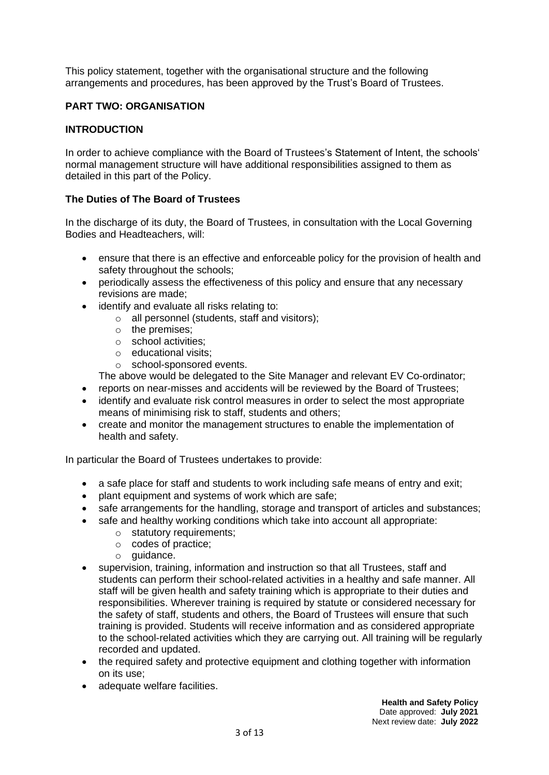This policy statement, together with the organisational structure and the following arrangements and procedures, has been approved by the Trust's Board of Trustees.

# **PART TWO: ORGANISATION**

#### **INTRODUCTION**

In order to achieve compliance with the Board of Trustees's Statement of Intent, the schools' normal management structure will have additional responsibilities assigned to them as detailed in this part of the Policy.

#### **The Duties of The Board of Trustees**

In the discharge of its duty, the Board of Trustees, in consultation with the Local Governing Bodies and Headteachers, will:

- ensure that there is an effective and enforceable policy for the provision of health and safety throughout the schools;
- periodically assess the effectiveness of this policy and ensure that any necessary revisions are made;
- identify and evaluate all risks relating to:
	- o all personnel (students, staff and visitors);
		- o the premises;
		- o school activities;
		- o educational visits;
	- o school-sponsored events.

The above would be delegated to the Site Manager and relevant EV Co-ordinator;

- reports on near-misses and accidents will be reviewed by the Board of Trustees;
- identify and evaluate risk control measures in order to select the most appropriate means of minimising risk to staff, students and others;
- create and monitor the management structures to enable the implementation of health and safety.

In particular the Board of Trustees undertakes to provide:

- a safe place for staff and students to work including safe means of entry and exit;
- plant equipment and systems of work which are safe;
- safe arrangements for the handling, storage and transport of articles and substances;
- safe and healthy working conditions which take into account all appropriate:
	- o statutory requirements;
	- o codes of practice;
	- o guidance.
- supervision, training, information and instruction so that all Trustees, staff and students can perform their school-related activities in a healthy and safe manner. All staff will be given health and safety training which is appropriate to their duties and responsibilities. Wherever training is required by statute or considered necessary for the safety of staff, students and others, the Board of Trustees will ensure that such training is provided. Students will receive information and as considered appropriate to the school-related activities which they are carrying out. All training will be regularly recorded and updated.
- the required safety and protective equipment and clothing together with information on its use;
- adequate welfare facilities.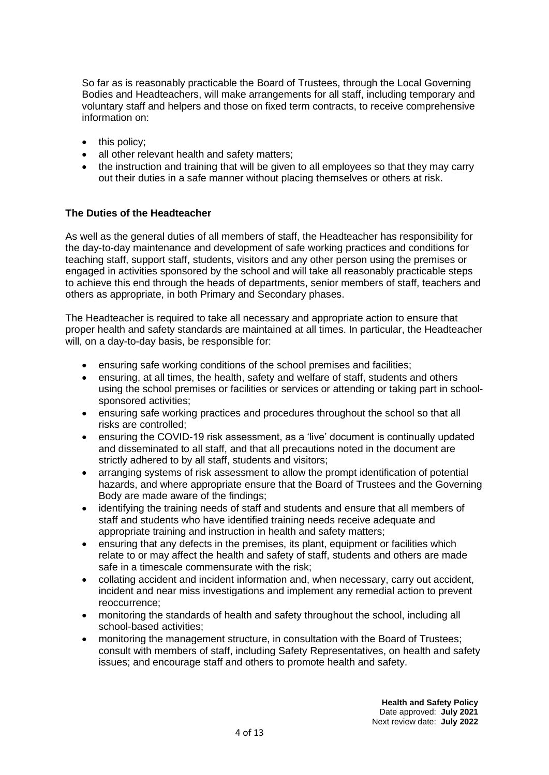So far as is reasonably practicable the Board of Trustees, through the Local Governing Bodies and Headteachers, will make arrangements for all staff, including temporary and voluntary staff and helpers and those on fixed term contracts, to receive comprehensive information on:

- this policy;
- all other relevant health and safety matters;
- the instruction and training that will be given to all employees so that they may carry out their duties in a safe manner without placing themselves or others at risk.

## **The Duties of the Headteacher**

As well as the general duties of all members of staff, the Headteacher has responsibility for the day-to-day maintenance and development of safe working practices and conditions for teaching staff, support staff, students, visitors and any other person using the premises or engaged in activities sponsored by the school and will take all reasonably practicable steps to achieve this end through the heads of departments, senior members of staff, teachers and others as appropriate, in both Primary and Secondary phases.

The Headteacher is required to take all necessary and appropriate action to ensure that proper health and safety standards are maintained at all times. In particular, the Headteacher will, on a day-to-day basis, be responsible for:

- ensuring safe working conditions of the school premises and facilities;
- ensuring, at all times, the health, safety and welfare of staff, students and others using the school premises or facilities or services or attending or taking part in schoolsponsored activities;
- ensuring safe working practices and procedures throughout the school so that all risks are controlled;
- ensuring the COVID-19 risk assessment, as a 'live' document is continually updated and disseminated to all staff, and that all precautions noted in the document are strictly adhered to by all staff, students and visitors;
- arranging systems of risk assessment to allow the prompt identification of potential hazards, and where appropriate ensure that the Board of Trustees and the Governing Body are made aware of the findings;
- identifying the training needs of staff and students and ensure that all members of staff and students who have identified training needs receive adequate and appropriate training and instruction in health and safety matters;
- ensuring that any defects in the premises, its plant, equipment or facilities which relate to or may affect the health and safety of staff, students and others are made safe in a timescale commensurate with the risk;
- collating accident and incident information and, when necessary, carry out accident, incident and near miss investigations and implement any remedial action to prevent reoccurrence;
- monitoring the standards of health and safety throughout the school, including all school-based activities;
- monitoring the management structure, in consultation with the Board of Trustees; consult with members of staff, including Safety Representatives, on health and safety issues; and encourage staff and others to promote health and safety.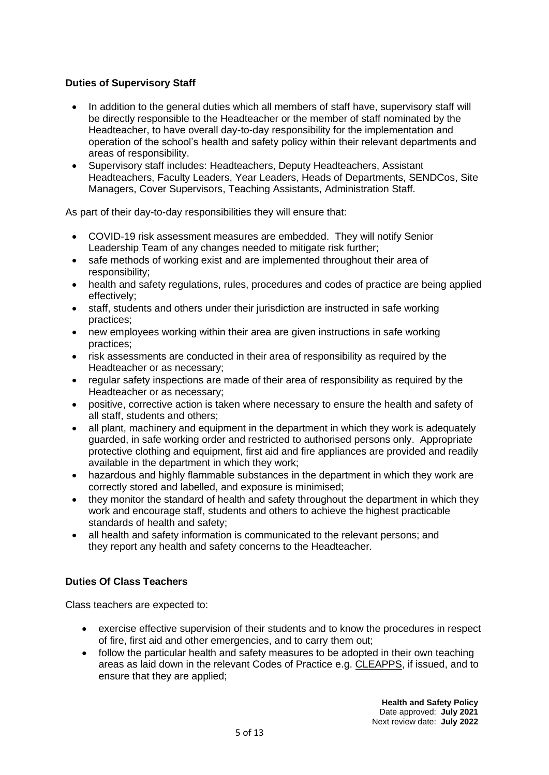# **Duties of Supervisory Staff**

- In addition to the general duties which all members of staff have, supervisory staff will be directly responsible to the Headteacher or the member of staff nominated by the Headteacher, to have overall day-to-day responsibility for the implementation and operation of the school's health and safety policy within their relevant departments and areas of responsibility.
- Supervisory staff includes: Headteachers, Deputy Headteachers, Assistant Headteachers, Faculty Leaders, Year Leaders, Heads of Departments, SENDCos, Site Managers, Cover Supervisors, Teaching Assistants, Administration Staff.

As part of their day-to-day responsibilities they will ensure that:

- COVID-19 risk assessment measures are embedded. They will notify Senior Leadership Team of any changes needed to mitigate risk further;
- safe methods of working exist and are implemented throughout their area of responsibility;
- health and safety regulations, rules, procedures and codes of practice are being applied effectively;
- staff, students and others under their jurisdiction are instructed in safe working practices;
- new employees working within their area are given instructions in safe working practices;
- risk assessments are conducted in their area of responsibility as required by the Headteacher or as necessary;
- regular safety inspections are made of their area of responsibility as required by the Headteacher or as necessary;
- positive, corrective action is taken where necessary to ensure the health and safety of all staff, students and others;
- all plant, machinery and equipment in the department in which they work is adequately guarded, in safe working order and restricted to authorised persons only. Appropriate protective clothing and equipment, first aid and fire appliances are provided and readily available in the department in which they work;
- hazardous and highly flammable substances in the department in which they work are correctly stored and labelled, and exposure is minimised;
- they monitor the standard of health and safety throughout the department in which they work and encourage staff, students and others to achieve the highest practicable standards of health and safety;
- all health and safety information is communicated to the relevant persons; and they report any health and safety concerns to the Headteacher.

# **Duties Of Class Teachers**

Class teachers are expected to:

- exercise effective supervision of their students and to know the procedures in respect of fire, first aid and other emergencies, and to carry them out;
- follow the particular health and safety measures to be adopted in their own teaching areas as laid down in the relevant Codes of Practice e.g. CLEAPPS, if issued, and to ensure that they are applied;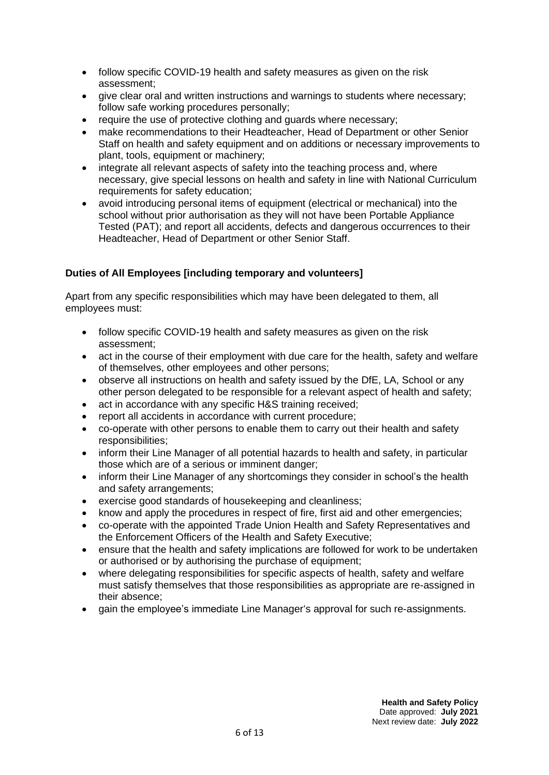- follow specific COVID-19 health and safety measures as given on the risk assessment;
- give clear oral and written instructions and warnings to students where necessary; follow safe working procedures personally;
- require the use of protective clothing and guards where necessary;
- make recommendations to their Headteacher, Head of Department or other Senior Staff on health and safety equipment and on additions or necessary improvements to plant, tools, equipment or machinery;
- integrate all relevant aspects of safety into the teaching process and, where necessary, give special lessons on health and safety in line with National Curriculum requirements for safety education;
- avoid introducing personal items of equipment (electrical or mechanical) into the school without prior authorisation as they will not have been Portable Appliance Tested (PAT); and report all accidents, defects and dangerous occurrences to their Headteacher, Head of Department or other Senior Staff.

# **Duties of All Employees [including temporary and volunteers]**

Apart from any specific responsibilities which may have been delegated to them, all employees must:

- follow specific COVID-19 health and safety measures as given on the risk assessment;
- act in the course of their employment with due care for the health, safety and welfare of themselves, other employees and other persons;
- observe all instructions on health and safety issued by the DfE, LA, School or any other person delegated to be responsible for a relevant aspect of health and safety;
- act in accordance with any specific H&S training received;
- report all accidents in accordance with current procedure;
- co-operate with other persons to enable them to carry out their health and safety responsibilities;
- inform their Line Manager of all potential hazards to health and safety, in particular those which are of a serious or imminent danger;
- inform their Line Manager of any shortcomings they consider in school's the health and safety arrangements;
- exercise good standards of housekeeping and cleanliness;
- know and apply the procedures in respect of fire, first aid and other emergencies;
- co-operate with the appointed Trade Union Health and Safety Representatives and the Enforcement Officers of the Health and Safety Executive;
- ensure that the health and safety implications are followed for work to be undertaken or authorised or by authorising the purchase of equipment;
- where delegating responsibilities for specific aspects of health, safety and welfare must satisfy themselves that those responsibilities as appropriate are re-assigned in their absence;
- gain the employee's immediate Line Manager's approval for such re-assignments.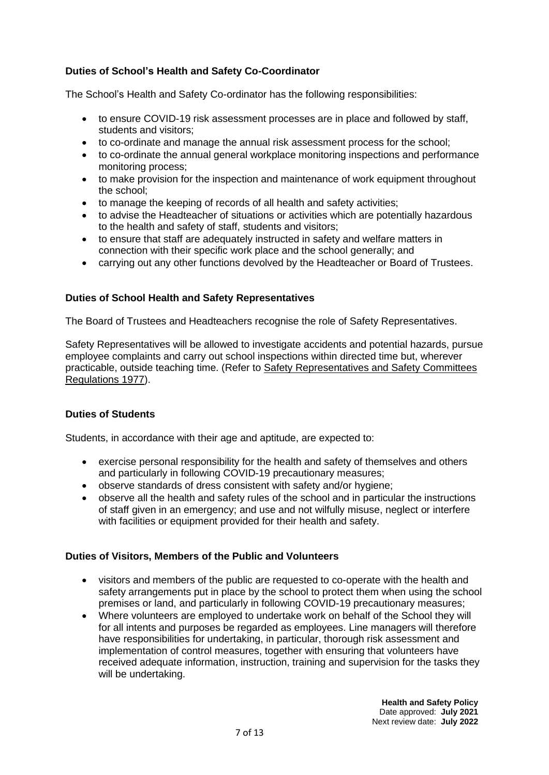# **Duties of School's Health and Safety Co-Coordinator**

The School's Health and Safety Co-ordinator has the following responsibilities:

- to ensure COVID-19 risk assessment processes are in place and followed by staff, students and visitors;
- to co-ordinate and manage the annual risk assessment process for the school;
- to co-ordinate the annual general workplace monitoring inspections and performance monitoring process;
- to make provision for the inspection and maintenance of work equipment throughout the school;
- to manage the keeping of records of all health and safety activities;
- to advise the Headteacher of situations or activities which are potentially hazardous to the health and safety of staff, students and visitors;
- to ensure that staff are adequately instructed in safety and welfare matters in connection with their specific work place and the school generally; and
- carrying out any other functions devolved by the Headteacher or Board of Trustees.

## **Duties of School Health and Safety Representatives**

The Board of Trustees and Headteachers recognise the role of Safety Representatives.

Safety Representatives will be allowed to investigate accidents and potential hazards, pursue employee complaints and carry out school inspections within directed time but, wherever practicable, outside teaching time. (Refer to Safety Representatives and Safety Committees Regulations 1977).

#### **Duties of Students**

Students, in accordance with their age and aptitude, are expected to:

- exercise personal responsibility for the health and safety of themselves and others and particularly in following COVID-19 precautionary measures;
- observe standards of dress consistent with safety and/or hygiene;
- observe all the health and safety rules of the school and in particular the instructions of staff given in an emergency; and use and not wilfully misuse, neglect or interfere with facilities or equipment provided for their health and safety.

#### **Duties of Visitors, Members of the Public and Volunteers**

- visitors and members of the public are requested to co-operate with the health and safety arrangements put in place by the school to protect them when using the school premises or land, and particularly in following COVID-19 precautionary measures;
- Where volunteers are employed to undertake work on behalf of the School they will for all intents and purposes be regarded as employees. Line managers will therefore have responsibilities for undertaking, in particular, thorough risk assessment and implementation of control measures, together with ensuring that volunteers have received adequate information, instruction, training and supervision for the tasks they will be undertaking.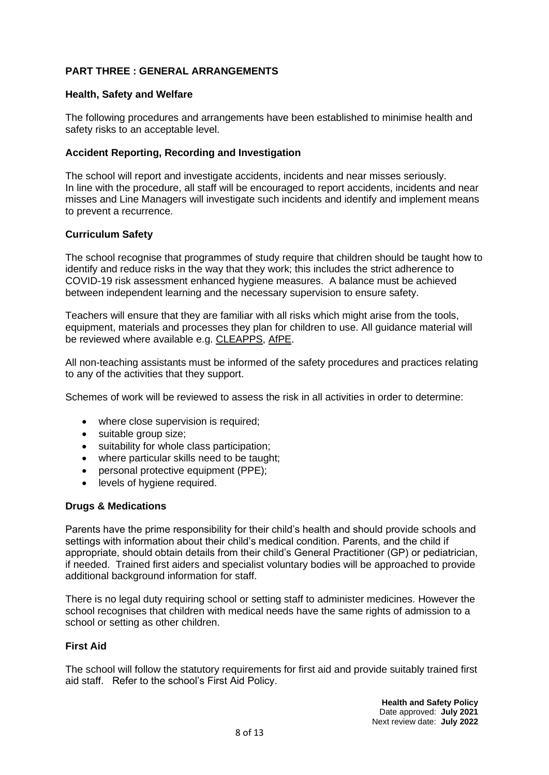# **PART THREE : GENERAL ARRANGEMENTS**

#### **Health, Safety and Welfare**

The following procedures and arrangements have been established to minimise health and safety risks to an acceptable level.

#### **Accident Reporting, Recording and Investigation**

The school will report and investigate accidents, incidents and near misses seriously. In line with the procedure, all staff will be encouraged to report accidents, incidents and near misses and Line Managers will investigate such incidents and identify and implement means to prevent a recurrence.

#### **Curriculum Safety**

The school recognise that programmes of study require that children should be taught how to identify and reduce risks in the way that they work; this includes the strict adherence to COVID-19 risk assessment enhanced hygiene measures. A balance must be achieved between independent learning and the necessary supervision to ensure safety.

Teachers will ensure that they are familiar with all risks which might arise from the tools, equipment, materials and processes they plan for children to use. All guidance material will be reviewed where available e.g. CLEAPPS, AfPE.

All non-teaching assistants must be informed of the safety procedures and practices relating to any of the activities that they support.

Schemes of work will be reviewed to assess the risk in all activities in order to determine:

- where close supervision is required;
- suitable group size:
- suitability for whole class participation;
- where particular skills need to be taught;
- personal protective equipment (PPE);
- levels of hygiene required.

#### **Drugs & Medications**

Parents have the prime responsibility for their child's health and should provide schools and settings with information about their child's medical condition. Parents, and the child if appropriate, should obtain details from their child's General Practitioner (GP) or pediatrician, if needed. Trained first aiders and specialist voluntary bodies will be approached to provide additional background information for staff.

There is no legal duty requiring school or setting staff to administer medicines. However the school recognises that children with medical needs have the same rights of admission to a school or setting as other children.

#### **First Aid**

The school will follow the statutory requirements for first aid and provide suitably trained first aid staff. Refer to the school's First Aid Policy.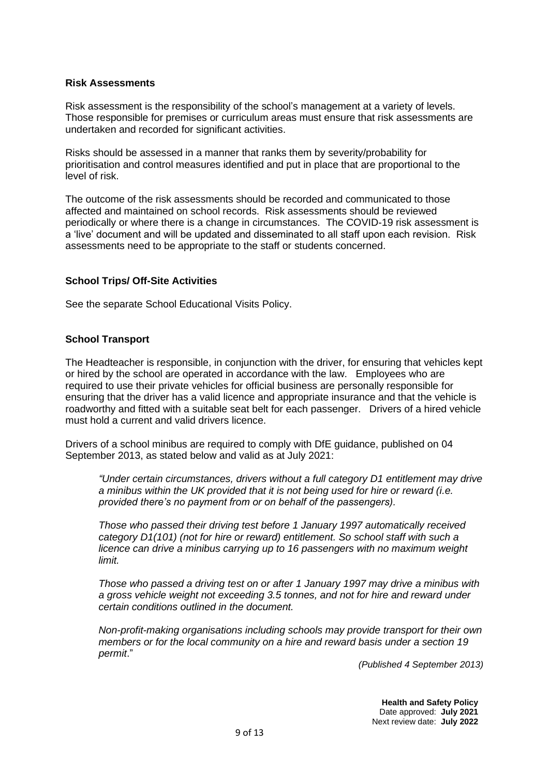## **Risk Assessments**

Risk assessment is the responsibility of the school's management at a variety of levels. Those responsible for premises or curriculum areas must ensure that risk assessments are undertaken and recorded for significant activities.

Risks should be assessed in a manner that ranks them by severity/probability for prioritisation and control measures identified and put in place that are proportional to the level of risk.

The outcome of the risk assessments should be recorded and communicated to those affected and maintained on school records. Risk assessments should be reviewed periodically or where there is a change in circumstances. The COVID-19 risk assessment is a 'live' document and will be updated and disseminated to all staff upon each revision. Risk assessments need to be appropriate to the staff or students concerned.

## **School Trips/ Off-Site Activities**

See the separate School Educational Visits Policy.

#### **School Transport**

The Headteacher is responsible, in conjunction with the driver, for ensuring that vehicles kept or hired by the school are operated in accordance with the law. Employees who are required to use their private vehicles for official business are personally responsible for ensuring that the driver has a valid licence and appropriate insurance and that the vehicle is roadworthy and fitted with a suitable seat belt for each passenger. Drivers of a hired vehicle must hold a current and valid drivers licence.

Drivers of a school minibus are required to comply with DfE guidance, published on 04 September 2013, as stated below and valid as at July 2021:

*"Under certain circumstances, drivers without a full category D1 entitlement may drive a minibus within the UK provided that it is not being used for hire or reward (i.e. provided there's no payment from or on behalf of the passengers).*

*Those who passed their driving test before 1 January 1997 automatically received category D1(101) (not for hire or reward) entitlement. So school staff with such a licence can drive a minibus carrying up to 16 passengers with no maximum weight limit.*

*Those who passed a driving test on or after 1 January 1997 may drive a minibus with a gross vehicle weight not exceeding 3.5 tonnes, and not for hire and reward under certain conditions outlined in the document.*

*Non-profit-making organisations including schools may provide transport for their own members or for the local community on a hire and reward basis under a section 19 permit*."

*(Published 4 September 2013)*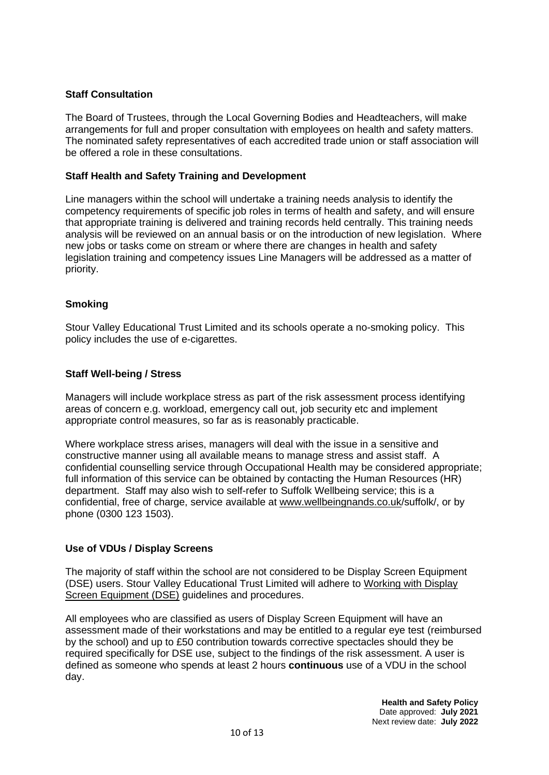## **Staff Consultation**

The Board of Trustees, through the Local Governing Bodies and Headteachers, will make arrangements for full and proper consultation with employees on health and safety matters. The nominated safety representatives of each accredited trade union or staff association will be offered a role in these consultations.

## **Staff Health and Safety Training and Development**

Line managers within the school will undertake a training needs analysis to identify the competency requirements of specific job roles in terms of health and safety, and will ensure that appropriate training is delivered and training records held centrally. This training needs analysis will be reviewed on an annual basis or on the introduction of new legislation. Where new jobs or tasks come on stream or where there are changes in health and safety legislation training and competency issues Line Managers will be addressed as a matter of priority.

## **Smoking**

Stour Valley Educational Trust Limited and its schools operate a no-smoking policy. This policy includes the use of e-cigarettes.

#### **Staff Well-being / Stress**

Managers will include workplace stress as part of the risk assessment process identifying areas of concern e.g. workload, emergency call out, job security etc and implement appropriate control measures, so far as is reasonably practicable.

Where workplace stress arises, managers will deal with the issue in a sensitive and constructive manner using all available means to manage stress and assist staff. A confidential counselling service through Occupational Health may be considered appropriate; full information of this service can be obtained by contacting the Human Resources (HR) department. Staff may also wish to self-refer to Suffolk Wellbeing service; this is a confidential, free of charge, service available at [www.wellbeingnands.co.uk/](http://www.wellbeingnands.co.uk/)suffolk/, or by phone (0300 123 1503).

#### **Use of VDUs / Display Screens**

The majority of staff within the school are not considered to be Display Screen Equipment (DSE) users. Stour Valley Educational Trust Limited will adhere to Working with Display Screen Equipment (DSE) guidelines and procedures.

All employees who are classified as users of Display Screen Equipment will have an assessment made of their workstations and may be entitled to a regular eye test (reimbursed by the school) and up to £50 contribution towards corrective spectacles should they be required specifically for DSE use, subject to the findings of the risk assessment. A user is defined as someone who spends at least 2 hours **continuous** use of a VDU in the school day.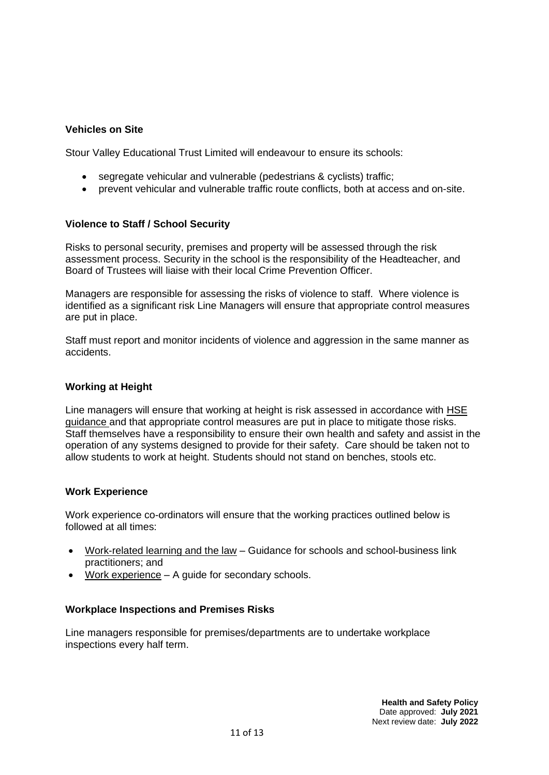## **Vehicles on Site**

Stour Valley Educational Trust Limited will endeavour to ensure its schools:

- segregate vehicular and vulnerable (pedestrians & cyclists) traffic;
- prevent vehicular and vulnerable traffic route conflicts, both at access and on-site.

#### **Violence to Staff / School Security**

Risks to personal security, premises and property will be assessed through the risk assessment process. Security in the school is the responsibility of the Headteacher, and Board of Trustees will liaise with their local Crime Prevention Officer.

Managers are responsible for assessing the risks of violence to staff. Where violence is identified as a significant risk Line Managers will ensure that appropriate control measures are put in place.

Staff must report and monitor incidents of violence and aggression in the same manner as accidents.

#### **Working at Height**

Line managers will ensure that working at height is risk assessed in accordance with HSE guidance and that appropriate control measures are put in place to mitigate those risks. Staff themselves have a responsibility to ensure their own health and safety and assist in the operation of any systems designed to provide for their safety. Care should be taken not to allow students to work at height. Students should not stand on benches, stools etc.

#### **Work Experience**

Work experience co-ordinators will ensure that the working practices outlined below is followed at all times:

- Work-related learning and the law Guidance for schools and school-business link practitioners; and
- Work experience A guide for secondary schools.

#### **Workplace Inspections and Premises Risks**

Line managers responsible for premises/departments are to undertake workplace inspections every half term.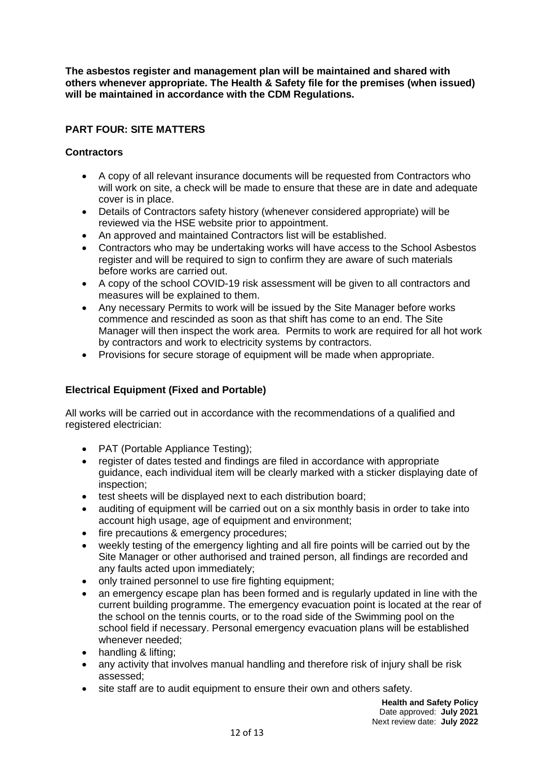**The asbestos register and management plan will be maintained and shared with others whenever appropriate. The Health & Safety file for the premises (when issued) will be maintained in accordance with the CDM Regulations.**

# **PART FOUR: SITE MATTERS**

## **Contractors**

- A copy of all relevant insurance documents will be requested from Contractors who will work on site, a check will be made to ensure that these are in date and adequate cover is in place.
- Details of Contractors safety history (whenever considered appropriate) will be reviewed via the HSE website prior to appointment.
- An approved and maintained Contractors list will be established.
- Contractors who may be undertaking works will have access to the School Asbestos register and will be required to sign to confirm they are aware of such materials before works are carried out.
- A copy of the school COVID-19 risk assessment will be given to all contractors and measures will be explained to them.
- Any necessary Permits to work will be issued by the Site Manager before works commence and rescinded as soon as that shift has come to an end. The Site Manager will then inspect the work area. Permits to work are required for all hot work by contractors and work to electricity systems by contractors.
- Provisions for secure storage of equipment will be made when appropriate.

# **Electrical Equipment (Fixed and Portable)**

All works will be carried out in accordance with the recommendations of a qualified and registered electrician:

- PAT (Portable Appliance Testing);
- register of dates tested and findings are filed in accordance with appropriate guidance, each individual item will be clearly marked with a sticker displaying date of inspection;
- test sheets will be displayed next to each distribution board;
- auditing of equipment will be carried out on a six monthly basis in order to take into account high usage, age of equipment and environment:
- fire precautions & emergency procedures;
- weekly testing of the emergency lighting and all fire points will be carried out by the Site Manager or other authorised and trained person, all findings are recorded and any faults acted upon immediately;
- only trained personnel to use fire fighting equipment;
- an emergency escape plan has been formed and is regularly updated in line with the current building programme. The emergency evacuation point is located at the rear of the school on the tennis courts, or to the road side of the Swimming pool on the school field if necessary. Personal emergency evacuation plans will be established whenever needed;
- handling & lifting;
- any activity that involves manual handling and therefore risk of injury shall be risk assessed;
- site staff are to audit equipment to ensure their own and others safety.